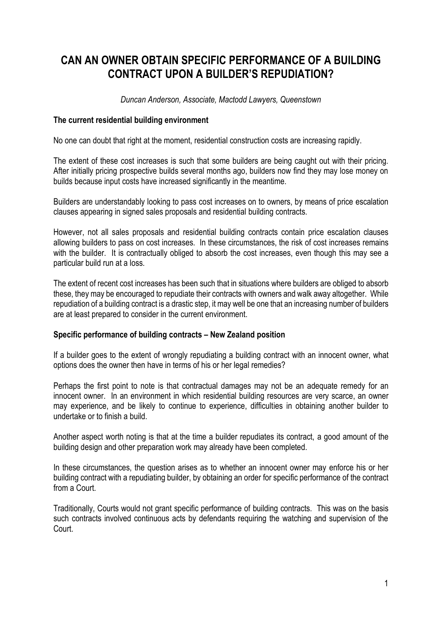## **CAN AN OWNER OBTAIN SPECIFIC PERFORMANCE OF A BUILDING CONTRACT UPON A BUILDER'S REPUDIATION?**

*Duncan Anderson, Associate, Mactodd Lawyers, Queenstown*

## **The current residential building environment**

No one can doubt that right at the moment, residential construction costs are increasing rapidly.

The extent of these cost increases is such that some builders are being caught out with their pricing. After initially pricing prospective builds several months ago, builders now find they may lose money on builds because input costs have increased significantly in the meantime.

Builders are understandably looking to pass cost increases on to owners, by means of price escalation clauses appearing in signed sales proposals and residential building contracts.

However, not all sales proposals and residential building contracts contain price escalation clauses allowing builders to pass on cost increases. In these circumstances, the risk of cost increases remains with the builder. It is contractually obliged to absorb the cost increases, even though this may see a particular build run at a loss.

The extent of recent cost increases has been such that in situations where builders are obliged to absorb these, they may be encouraged to repudiate their contracts with owners and walk away altogether. While repudiation of a building contract is a drastic step, it may well be one that an increasing number of builders are at least prepared to consider in the current environment.

## **Specific performance of building contracts – New Zealand position**

If a builder goes to the extent of wrongly repudiating a building contract with an innocent owner, what options does the owner then have in terms of his or her legal remedies?

Perhaps the first point to note is that contractual damages may not be an adequate remedy for an innocent owner. In an environment in which residential building resources are very scarce, an owner may experience, and be likely to continue to experience, difficulties in obtaining another builder to undertake or to finish a build.

Another aspect worth noting is that at the time a builder repudiates its contract, a good amount of the building design and other preparation work may already have been completed.

In these circumstances, the question arises as to whether an innocent owner may enforce his or her building contract with a repudiating builder, by obtaining an order for specific performance of the contract from a Court.

Traditionally, Courts would not grant specific performance of building contracts. This was on the basis such contracts involved continuous acts by defendants requiring the watching and supervision of the Court.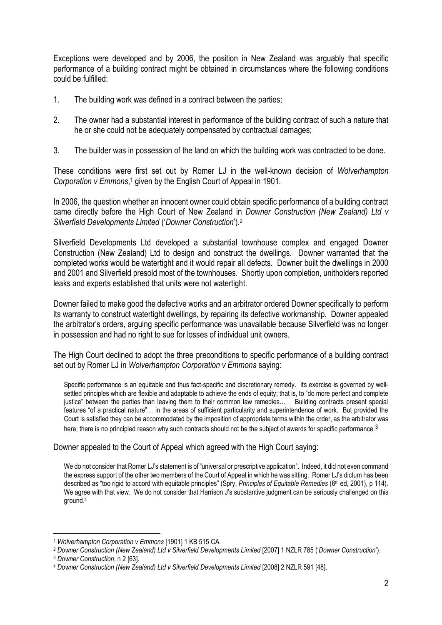Exceptions were developed and by 2006, the position in New Zealand was arguably that specific performance of a building contract might be obtained in circumstances where the following conditions could be fulfilled:

- 1. The building work was defined in a contract between the parties;
- 2. The owner had a substantial interest in performance of the building contract of such a nature that he or she could not be adequately compensated by contractual damages;
- 3. The builder was in possession of the land on which the building work was contracted to be done.

These conditions were first set out by Romer LJ in the well-known decision of *Wolverhampton*  Corporation v Emmons,<sup>1</sup> given by the English Court of Appeal in 1901.

In 2006, the question whether an innocent owner could obtain specific performance of a building contract came directly before the High Court of New Zealand in *Downer Construction (New Zealand) Ltd v Silverfield Developments Limited* ('*Downer Construction*'). 2

Silverfield Developments Ltd developed a substantial townhouse complex and engaged Downer Construction (New Zealand) Ltd to design and construct the dwellings. Downer warranted that the completed works would be watertight and it would repair all defects. Downer built the dwellings in 2000 and 2001 and Silverfield presold most of the townhouses. Shortly upon completion, unitholders reported leaks and experts established that units were not watertight.

Downer failed to make good the defective works and an arbitrator ordered Downer specifically to perform its warranty to construct watertight dwellings, by repairing its defective workmanship. Downer appealed the arbitrator's orders, arguing specific performance was unavailable because Silverfield was no longer in possession and had no right to sue for losses of individual unit owners.

The High Court declined to adopt the three preconditions to specific performance of a building contract set out by Romer LJ in *Wolverhampton Corporation v Emmons* saying:

Specific performance is an equitable and thus fact-specific and discretionary remedy. Its exercise is governed by wellsettled principles which are flexible and adaptable to achieve the ends of equity; that is, to "do more perfect and complete justice" between the parties than leaving them to their common law remedies… . Building contracts present special features "of a practical nature"… in the areas of sufficient particularity and superintendence of work. But provided the Court is satisfied they can be accommodated by the imposition of appropriate terms within the order, as the arbitrator was here, there is no principled reason why such contracts should not be the subject of awards for specific performance.<sup>3</sup>

Downer appealed to the Court of Appeal which agreed with the High Court saying:

We do not consider that Romer LJ's statement is of "universal or prescriptive application". Indeed, it did not even command the express support of the other two members of the Court of Appeal in which he was sitting. Romer LJ's dictum has been described as "too rigid to accord with equitable principles" (Spry, *Principles of Equitable Remedies* (6th ed, 2001), p 114). We agree with that view. We do not consider that Harrison J's substantive judgment can be seriously challenged on this ground.<sup>4</sup>

1

<sup>1</sup> *Wolverhampton Corporation v Emmons* [1901] 1 KB 515 CA.

<sup>2</sup> *Downer Construction (New Zealand) Ltd v Silverfield Developments Limited* [2007] 1 NZLR 785 ('*Downer Construction*').

<sup>3</sup> *Downer Construction*, n 2 [63].

<sup>4</sup> *Downer Construction (New Zealand) Ltd v Silverfield Developments Limited* [2008] 2 NZLR 591 [48].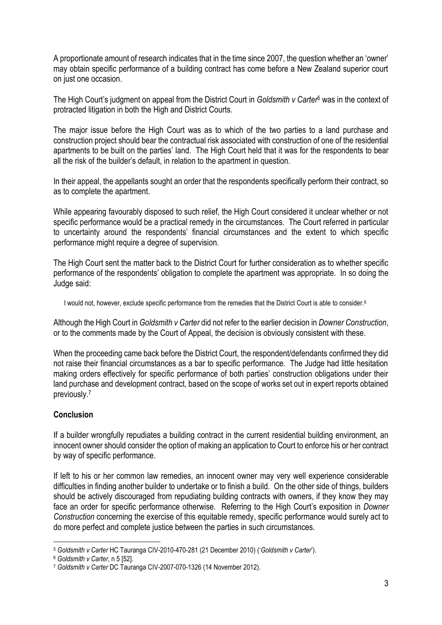A proportionate amount of research indicates that in the time since 2007, the question whether an 'owner' may obtain specific performance of a building contract has come before a New Zealand superior court on just one occasion.

The High Court's judgment on appeal from the District Court in *Goldsmith v Carter*<sup>5</sup> was in the context of protracted litigation in both the High and District Courts.

The major issue before the High Court was as to which of the two parties to a land purchase and construction project should bear the contractual risk associated with construction of one of the residential apartments to be built on the parties' land. The High Court held that it was for the respondents to bear all the risk of the builder's default, in relation to the apartment in question.

In their appeal, the appellants sought an order that the respondents specifically perform their contract, so as to complete the apartment.

While appearing favourably disposed to such relief, the High Court considered it unclear whether or not specific performance would be a practical remedy in the circumstances. The Court referred in particular to uncertainty around the respondents' financial circumstances and the extent to which specific performance might require a degree of supervision.

The High Court sent the matter back to the District Court for further consideration as to whether specific performance of the respondents' obligation to complete the apartment was appropriate. In so doing the Judge said:

I would not, however, exclude specific performance from the remedies that the District Court is able to consider.<sup>6</sup>

Although the High Court in *Goldsmith v Carter* did not refer to the earlier decision in *Downer Construction*, or to the comments made by the Court of Appeal, the decision is obviously consistent with these.

When the proceeding came back before the District Court, the respondent/defendants confirmed they did not raise their financial circumstances as a bar to specific performance. The Judge had little hesitation making orders effectively for specific performance of both parties' construction obligations under their land purchase and development contract, based on the scope of works set out in expert reports obtained previously.<sup>7</sup>

## **Conclusion**

If a builder wrongfully repudiates a building contract in the current residential building environment, an innocent owner should consider the option of making an application to Court to enforce his or her contract by way of specific performance.

If left to his or her common law remedies, an innocent owner may very well experience considerable difficulties in finding another builder to undertake or to finish a build. On the other side of things, builders should be actively discouraged from repudiating building contracts with owners, if they know they may face an order for specific performance otherwise. Referring to the High Court's exposition in *Downer Construction* concerning the exercise of this equitable remedy, specific performance would surely act to do more perfect and complete justice between the parties in such circumstances.

<sup>&</sup>lt;u>.</u> <sup>5</sup> *Goldsmith v Carter* HC Tauranga CIV-2010-470-281 (21 December 2010) ('*Goldsmith v Carter*').

<sup>6</sup> *Goldsmith v Carter*, n 5 [52].

<sup>7</sup> *Goldsmith v Carter* DC Tauranga CIV-2007-070-1326 (14 November 2012).